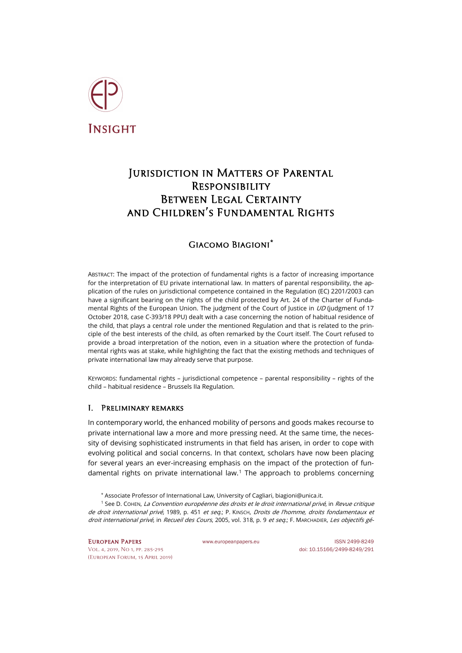

# Jurisdiction in Matters of Parental **RESPONSIBILITY** Between Legal Certainty and Children's Fundamental Rights

## Giacomo Biagioni**[\\*](#page-0-0)**

ABSTRACT: The impact of the protection of fundamental rights is a factor of increasing importance for the interpretation of EU private international law. In matters of parental responsibility, the application of the rules on jurisdictional competence contained in the Regulation (EC) 2201/2003 can have a significant bearing on the rights of the child protected by Art. 24 of the Charter of Fundamental Rights of the European Union. The judgment of the Court of Justice in UD (judgment of 17 October 2018, case C-393/18 PPU) dealt with a case concerning the notion of habitual residence of the child, that plays a central role under the mentioned Regulation and that is related to the principle of the best interests of the child, as often remarked by the Court itself. The Court refused to provide a broad interpretation of the notion, even in a situation where the protection of fundamental rights was at stake, while highlighting the fact that the existing methods and techniques of private international law may already serve that purpose.

KEYWORDS: fundamental rights – jurisdictional competence – parental responsibility – rights of the child – habitual residence – Brussels IIa Regulation.

## I. Preliminary remarks

In contemporary world, the enhanced mobility of persons and goods makes recourse to private international law a more and more pressing need. At the same time, the necessity of devising sophisticated instruments in that field has arisen, in order to cope with evolving political and social concerns. In that context, scholars have now been placing for several years an ever-increasing emphasis on the impact of the protection of fun-damental rights on private international law.<sup>[1](#page-0-1)</sup> The approach to problems concerning

\* Associate Professor of International Law, University of Cagliari[, biagioni@unica.it.](mailto:biagioni@unica.it)

<span id="page-0-1"></span><span id="page-0-0"></span><sup>1</sup> See D. COHEN, La Convention européenne des droits et le droit international privé, in Revue critique de droit international privé, 1989, p. 451 et seq.; P. KINSCH, Droits de l'homme, droits fondamentaux et droit international privé, in Recueil des Cours, 2005, vol. 318, p. 9 et seq.; F. MARCHADIER, Les objectifs gé-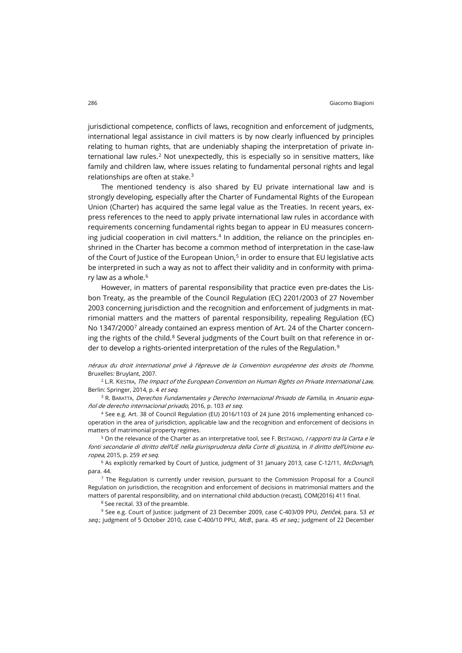jurisdictional competence, conflicts of laws, recognition and enforcement of judgments, international legal assistance in civil matters is by now clearly influenced by principles relating to human rights, that are undeniably shaping the interpretation of private in-ternational law rules.<sup>[2](#page-1-0)</sup> Not unexpectedly, this is especially so in sensitive matters, like family and children law, where issues relating to fundamental personal rights and legal relationships are often at stake.[3](#page-1-1)

The mentioned tendency is also shared by EU private international law and is strongly developing, especially after the Charter of Fundamental Rights of the European Union (Charter) has acquired the same legal value as the Treaties. In recent years, express references to the need to apply private international law rules in accordance with requirements concerning fundamental rights began to appear in EU measures concern-ing judicial cooperation in civil matters.<sup>[4](#page-1-2)</sup> In addition, the reliance on the principles enshrined in the Charter has become a common method of interpretation in the case-law of the Court of Justice of the European Union, [5](#page-1-3) in order to ensure that EU legislative acts be interpreted in such a way as not to affect their validity and in conformity with prima-ry law as a whole.<sup>[6](#page-1-4)</sup>

However, in matters of parental responsibility that practice even pre-dates the Lisbon Treaty, as the preamble of the Council Regulation (EC) 2201/2003 of 27 November 2003 concerning jurisdiction and the recognition and enforcement of judgments in matrimonial matters and the matters of parental responsibility, repealing Regulation (EC) No 1347/2000[7](#page-1-5) already contained an express mention of Art. 24 of the Charter concerning the rights of the child. $8$  Several judgments of the Court built on that reference in or-der to develop a rights-oriented interpretation of the rules of the Regulation.<sup>[9](#page-1-7)</sup>

<span id="page-1-0"></span>néraux du droit international privé à l'épreuve de la Convention européenne des droits de l'homme, Bruxelles: Bruylant, 2007.

<span id="page-1-1"></span> $2$  L.R. KIESTRA, The Impact of the European Convention on Human Rights on Private International Law, Berlin: Springer, 2014, p. 4 et seq.

<span id="page-1-2"></span><sup>3</sup> R. BARATTA, Derechos Fundamentales y Derecho Internacional Privado de Familia, in Anuario español de derecho internacional privado, 2016, p. 103 et seq.

<sup>4</sup> See e.g. Art. 38 of Council Regulation (EU) 2016/1103 of 24 June 2016 implementing enhanced cooperation in the area of jurisdiction, applicable law and the recognition and enforcement of decisions in matters of matrimonial property regimes.

<span id="page-1-3"></span><sup>5</sup> On the relevance of the Charter as an interpretative tool, see F. BESTAGNO, *I rapporti tra la Carta e le* fonti secondarie di diritto dell'UE nella giurisprudenza della Corte di giustizia, in Il diritto dell'Unione europea, 2015, p. 259 et seq.

<span id="page-1-5"></span><span id="page-1-4"></span><sup>6</sup> As explicitly remarked by Court of Justice, judgment of 31 January 2013, case C-12/11, McDonagh, para. 44.

<span id="page-1-6"></span> $<sup>7</sup>$  The Regulation is currently under revision, pursuant to the Commission Proposal for a Council</sup> Regulation on jurisdiction, the recognition and enforcement of decisions in matrimonial matters and the matters of parental responsibility, and on international child abduction (recast), COM(2016) 411 final.

<sup>8</sup> See recital. 33 of the preamble.

<span id="page-1-7"></span><sup>9</sup> See e.g. Court of Justice: judgment of 23 December 2009, case C-403/09 PPU, *Detiček*, para. 53 et seq.; judgment of 5 October 2010, case C-400/10 PPU, McB., para. 45 et seq.; judgment of 22 December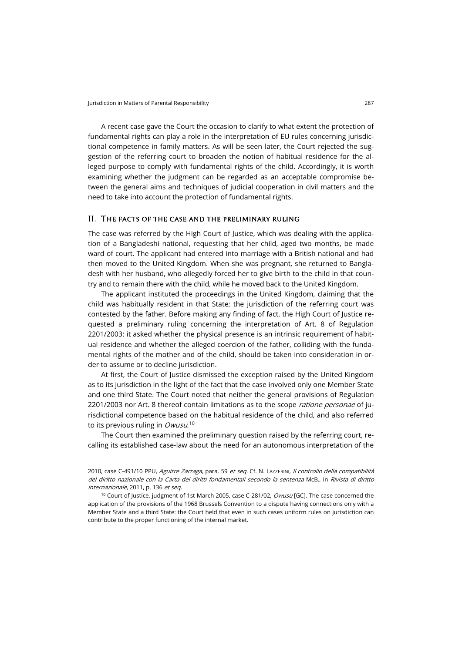A recent case gave the Court the occasion to clarify to what extent the protection of fundamental rights can play a role in the interpretation of EU rules concerning jurisdictional competence in family matters. As will be seen later, the Court rejected the suggestion of the referring court to broaden the notion of habitual residence for the alleged purpose to comply with fundamental rights of the child. Accordingly, it is worth examining whether the judgment can be regarded as an acceptable compromise between the general aims and techniques of judicial cooperation in civil matters and the need to take into account the protection of fundamental rights.

## II. The facts of the case and the preliminary ruling

The case was referred by the High Court of Justice, which was dealing with the application of a Bangladeshi national, requesting that her child, aged two months, be made ward of court. The applicant had entered into marriage with a British national and had then moved to the United Kingdom. When she was pregnant, she returned to Bangladesh with her husband, who allegedly forced her to give birth to the child in that country and to remain there with the child, while he moved back to the United Kingdom.

The applicant instituted the proceedings in the United Kingdom, claiming that the child was habitually resident in that State; the jurisdiction of the referring court was contested by the father. Before making any finding of fact, the High Court of Justice requested a preliminary ruling concerning the interpretation of Art. 8 of Regulation 2201/2003: it asked whether the physical presence is an intrinsic requirement of habitual residence and whether the alleged coercion of the father, colliding with the fundamental rights of the mother and of the child, should be taken into consideration in order to assume or to decline jurisdiction.

At first, the Court of Justice dismissed the exception raised by the United Kingdom as to its jurisdiction in the light of the fact that the case involved only one Member State and one third State. The Court noted that neither the general provisions of Regulation 2201/2003 nor Art. 8 thereof contain limitations as to the scope ratione personae of jurisdictional competence based on the habitual residence of the child, and also referred to its previous ruling in *Owusu*.<sup>[10](#page-2-0)</sup>

The Court then examined the preliminary question raised by the referring court, recalling its established case-law about the need for an autonomous interpretation of the

2010, case C-491/10 PPU, Aguirre Zarraga, para. 59 et seq. Cf. N. LAZZERINI, Il controllo della compatibilità del diritto nazionale con la Carta dei diritti fondamentali secondo la sentenza McB., in Rivista di diritto internazionale, 2011, p. 136 et seq.

<span id="page-2-0"></span><sup>10</sup> Court of Justice, judgment of 1st March 2005, case C-281/02, *Owusu* [GC]. The case concerned the application of the provisions of the 1968 Brussels Convention to a dispute having connections only with a Member State and a third State: the Court held that even in such cases uniform rules on jurisdiction can contribute to the proper functioning of the internal market.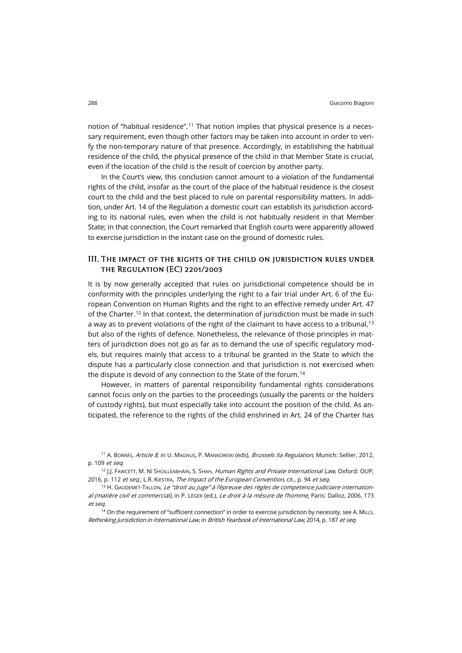notion of "habitual residence".[11](#page-3-0) That notion implies that physical presence is a necessary requirement, even though other factors may be taken into account in order to verify the non-temporary nature of that presence. Accordingly, in establishing the habitual residence of the child, the physical presence of the child in that Member State is crucial, even if the location of the child is the result of coercion by another party.

In the Court's view, this conclusion cannot amount to a violation of the fundamental rights of the child, insofar as the court of the place of the habitual residence is the closest court to the child and the best placed to rule on parental responsibility matters. In addition, under Art. 14 of the Regulation a domestic court can establish its jurisdiction according to its national rules, even when the child is not habitually resident in that Member State; in that connection, the Court remarked that English courts were apparently allowed to exercise jurisdiction in the instant case on the ground of domestic rules.

## III. The impact of the rights of the child on jurisdiction rules under the Regulation (EC) 2201/2003

It is by now generally accepted that rules on jurisdictional competence should be in conformity with the principles underlying the right to a fair trial under Art. 6 of the European Convention on Human Rights and the right to an effective remedy under Art. 47 of the Charter.<sup>[12](#page-3-1)</sup> In that context, the determination of jurisdiction must be made in such a way as to prevent violations of the right of the claimant to have access to a tribunal,  $13$ but also of the rights of defence. Nonetheless, the relevance of those principles in matters of jurisdiction does not go as far as to demand the use of specific regulatory models, but requires mainly that access to a tribunal be granted in the State to which the dispute has a particularly close connection and that jurisdiction is not exercised when the dispute is devoid of any connection to the State of the forum.<sup>[14](#page-3-3)</sup>

However, in matters of parental responsibility fundamental rights considerations cannot focus only on the parties to the proceedings (usually the parents or the holders of custody rights), but must especially take into account the position of the child. As anticipated, the reference to the rights of the child enshrined in Art. 24 of the Charter has

<span id="page-3-0"></span><sup>11</sup> A. BORRÁS, *Article 8*, in U. MAGNUS, P. MANKOWSKI (eds), *Brussels IIa Regulation*, Munich: Sellier, 2012, p. 109 et seq.

<span id="page-3-1"></span><sup>12</sup> J.J. FAWCETT, M. NÍ SHÚILLEABHÁIN, S. SHAH, Human Rights and Private International Law, Oxford: OUP, 2016, p. 112 et seq.; L.R. KIESTRA, The Impact of the European Convention, cit., p. 94 et seq.

<span id="page-3-2"></span><sup>13</sup> H. GAUDEMET-TALLON, *Le "droit au juge" à l'èpreuve des règles de competence judiciaire internation*al (matière civil et commercial), in P. Lèger (ed.), Le droit à la mèsure de l'homme, Paris: Dalloz, 2006, 173 et seq.

<span id="page-3-3"></span><sup>14</sup> On the requirement of "sufficient connection" in order to exercise jurisdiction by necessity, see A. MILLS, Rethinking Jurisdiction in International Law, in British Yearbook of International Law, 2014, p. 187 et seq.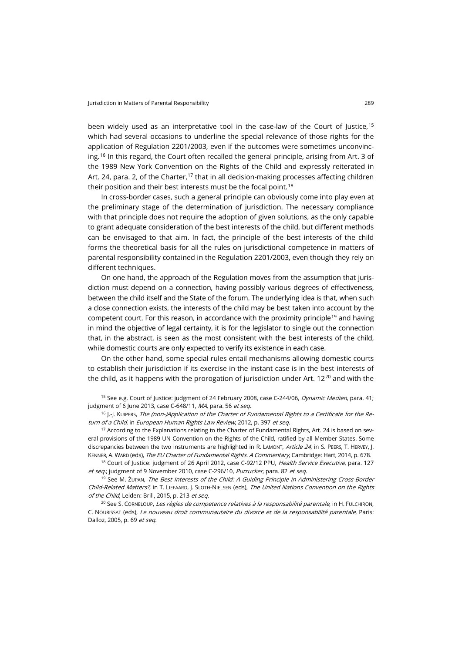been widely used as an interpretative tool in the case-law of the Court of Justice, <sup>[15](#page-4-0)</sup> which had several occasions to underline the special relevance of those rights for the application of Regulation 2201/2003, even if the outcomes were sometimes unconvincing.[16](#page-4-1) In this regard, the Court often recalled the general principle, arising from Art. 3 of the 1989 New York Convention on the Rights of the Child and expressly reiterated in Art. 24, para. 2, of the Charter,<sup>[17](#page-4-2)</sup> that in all decision-making processes affecting children their position and their best interests must be the focal point. $^{\rm 18}$  $^{\rm 18}$  $^{\rm 18}$ 

In cross-border cases, such a general principle can obviously come into play even at the preliminary stage of the determination of jurisdiction. The necessary compliance with that principle does not require the adoption of given solutions, as the only capable to grant adequate consideration of the best interests of the child, but different methods can be envisaged to that aim. In fact, the principle of the best interests of the child forms the theoretical basis for all the rules on jurisdictional competence in matters of parental responsibility contained in the Regulation 2201/2003, even though they rely on different techniques.

On one hand, the approach of the Regulation moves from the assumption that jurisdiction must depend on a connection, having possibly various degrees of effectiveness, between the child itself and the State of the forum. The underlying idea is that, when such a close connection exists, the interests of the child may be best taken into account by the competent court. For this reason, in accordance with the proximity principle<sup>[19](#page-4-4)</sup> and having in mind the objective of legal certainty, it is for the legislator to single out the connection that, in the abstract, is seen as the most consistent with the best interests of the child, while domestic courts are only expected to verify its existence in each case.

On the other hand, some special rules entail mechanisms allowing domestic courts to establish their jurisdiction if its exercise in the instant case is in the best interests of the child, as it happens with the prorogation of jurisdiction under Art.  $12^{20}$  $12^{20}$  $12^{20}$  and with the

<span id="page-4-0"></span><sup>15</sup> See e.g. Court of Justice: judgment of 24 February 2008, case C-244/06, *Dynamic Medien*, para. 41; judgment of 6 June 2013, case C-648/11, MA, para. 56 et seq.

<span id="page-4-1"></span> $16$  J.-J. KUIPERS, The (non-)Application of the Charter of Fundamental Rights to a Certificate for the Return of a Child, in European Human Rights Law Review, 2012, p. 397 et seq.

<span id="page-4-2"></span><sup>17</sup> According to the Explanations relating to the Charter of Fundamental Rights, Art. 24 is based on several provisions of the 1989 UN Convention on the Rights of the Child, ratified by all Member States. Some discrepancies between the two instruments are highlighted in R. LAMONT, Article 24, in S. PEERS, T. HERVEY, J. KENNER, A. WARD (eds), The EU Charter of Fundamental Rights. A Commentary, Cambridge: Hart, 2014, p. 678.

<span id="page-4-3"></span><sup>18</sup> Court of Justice: judgment of 26 April 2012, case C-92/12 PPU, Health Service Executive, para. 127 et seq.; judgment of 9 November 2010, case C-296/10, Purrucker, para. 82 et seq.

<span id="page-4-4"></span><sup>19</sup> See M. ŻUPAN, The Best Interests of the Child: A Guiding Principle in Administering Cross-Border Child-Related Matters?, in T. LIEFAARD, J. SLOTH-NIELSEN (eds), The United Nations Convention on the Rights of the Child, Leiden: Brill, 2015, p. 213 et seq.

<span id="page-4-5"></span><sup>20</sup> See S. CORNELOUP, Les règles de competence relatives à la responsabilité parentale, in H. FULCHIRON, C. NOURISSAT (eds), Le nouveau droit communautaire du divorce et de la responsabilité parentale, Paris: Dalloz, 2005, p. 69 et seq.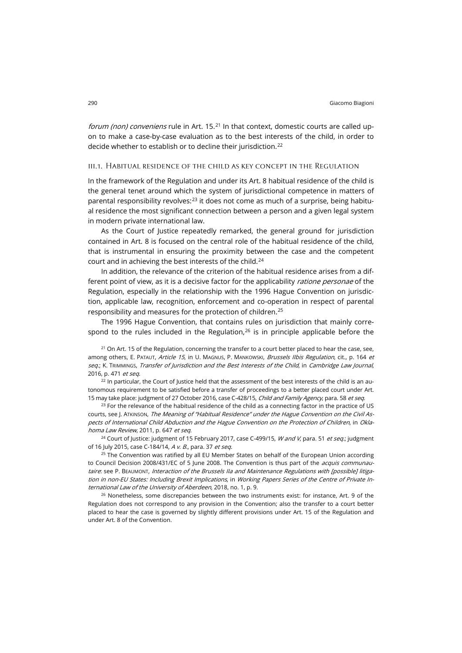forum (non) conveniens rule in Art. 15.<sup>[21](#page-5-0)</sup> In that context, domestic courts are called upon to make a case-by-case evaluation as to the best interests of the child, in order to decide whether to establish or to decline their jurisdiction.<sup>[22](#page-5-1)</sup>

### iii.1. Habitual residence of the child as key concept in the Regulation

In the framework of the Regulation and under its Art. 8 habitual residence of the child is the general tenet around which the system of jurisdictional competence in matters of parental responsibility revolves:<sup>[23](#page-5-2)</sup> it does not come as much of a surprise, being habitual residence the most significant connection between a person and a given legal system in modern private international law.

As the Court of Justice repeatedly remarked, the general ground for jurisdiction contained in Art. 8 is focused on the central role of the habitual residence of the child, that is instrumental in ensuring the proximity between the case and the competent court and in achieving the best interests of the child.<sup>[24](#page-5-3)</sup>

In addition, the relevance of the criterion of the habitual residence arises from a different point of view, as it is a decisive factor for the applicability ratione personae of the Regulation, especially in the relationship with the 1996 Hague Convention on jurisdiction, applicable law, recognition, enforcement and co-operation in respect of parental responsibility and measures for the protection of children.[25](#page-5-4)

The 1996 Hague Convention, that contains rules on jurisdiction that mainly correspond to the rules included in the Regulation, $26$  is in principle applicable before the

<span id="page-5-0"></span> $21$  On Art. 15 of the Regulation, concerning the transfer to a court better placed to hear the case, see, among others, E. PATAUT, Article 15, in U. MAGNUS, P. MANKOWSKI, Brussels Ilbis Regulation, cit., p. 164 et seq.; K. TRIMMINGS, Transfer of Jurisdiction and the Best Interests of the Child, in Cambridge Law Journal, 2016, p. 471 et seq.

<span id="page-5-1"></span> $22$  In particular, the Court of Justice held that the assessment of the best interests of the child is an autonomous requirement to be satisfied before a transfer of proceedings to a better placed court under Art. 15 may take place: judgment of 27 October 2016, case C-428/15, Child and Family Agency, para. 58 et seq.

<span id="page-5-2"></span><sup>23</sup> For the relevance of the habitual residence of the child as a connecting factor in the practice of US courts, see J. ATKINSON, The Meaning of "Habitual Residence" under the Hague Convention on the Civil Aspects of International Child Abduction and the Hague Convention on the Protection of Children, in Oklahoma Law Review, 2011, p. 647 et seq.

<span id="page-5-3"></span><sup>24</sup> Court of Justice: judgment of 15 February 2017, case C-499/15, *W and V*, para. 51 *et seq.*; judgment of 16 July 2015, case C-184/14, A v. B., para. 37 et seg.

<span id="page-5-4"></span><sup>25</sup> The Convention was ratified by all EU Member States on behalf of the European Union according to Council Decision 2008/431/EC of 5 June 2008. The Convention is thus part of the *acquis communau*taire: see P. BEAUMONT, Interaction of the Brussels IIa and Maintenance Regulations with [possible] litigation in non-EU States: Including Brexit Implications, in Working Papers Series of the Centre of Private International Law of the University of Aberdeen, 2018, no. 1, p. 9.

<span id="page-5-5"></span><sup>26</sup> Nonetheless, some discrepancies between the two instruments exist: for instance, Art. 9 of the Regulation does not correspond to any provision in the Convention; also the transfer to a court better placed to hear the case is governed by slightly different provisions under Art. 15 of the Regulation and under Art. 8 of the Convention.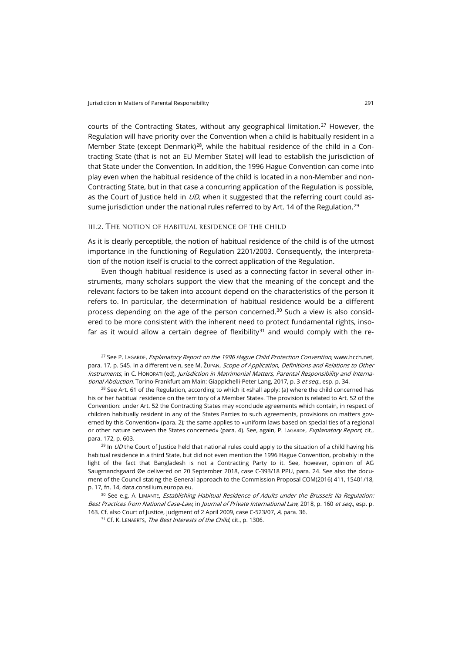courts of the Contracting States, without any geographical limitation.<sup>[27](#page-6-0)</sup> However, the Regulation will have priority over the Convention when a child is habitually resident in a Member State (except Denmark)<sup>[28](#page-6-1)</sup>, while the habitual residence of the child in a Contracting State (that is not an EU Member State) will lead to establish the jurisdiction of that State under the Convention. In addition, the 1996 Hague Convention can come into play even when the habitual residence of the child is located in a non-Member and non-Contracting State, but in that case a concurring application of the Regulation is possible, as the Court of Justice held in  $UD$ , when it suggested that the referring court could as-sume jurisdiction under the national rules referred to by Art. 14 of the Regulation.<sup>[29](#page-6-2)</sup>

### iii.2. The notion of habitual residence of the child

As it is clearly perceptible, the notion of habitual residence of the child is of the utmost importance in the functioning of Regulation 2201/2003. Consequently, the interpretation of the notion itself is crucial to the correct application of the Regulation.

Even though habitual residence is used as a connecting factor in several other instruments, many scholars support the view that the meaning of the concept and the relevant factors to be taken into account depend on the characteristics of the person it refers to. In particular, the determination of habitual residence would be a different process depending on the age of the person concerned.<sup>[30](#page-6-3)</sup> Such a view is also considered to be more consistent with the inherent need to protect fundamental rights, inso-far as it would allow a certain degree of flexibility<sup>[31](#page-6-4)</sup> and would comply with the re-

<span id="page-6-0"></span><sup>27</sup> See P. LAGARDE, Explanatory Report on the 1996 Hague Child Protection Convention, www.hcch.net, para. 17, p. 545. In a different vein, see M. ŽUPAN, Scope of Application, Definitions and Relations to Other Instruments, in C. HONORATI (ed), Jurisdiction in Matrimonial Matters, Parental Responsibility and International Abduction, Torino-Frankfurt am Main: Giappichelli-Peter Lang, 2017, p. 3 et seq., esp. p. 34.

<span id="page-6-1"></span> $28$  See Art. 61 of the Regulation, according to which it «shall apply: (a) where the child concerned has his or her habitual residence on the territory of a Member State». The provision is related to Art. 52 of the Convention: under Art. 52 the Contracting States may «conclude agreements which contain, in respect of children habitually resident in any of the States Parties to such agreements, provisions on matters governed by this Convention» (para. 2); the same applies to «uniform laws based on special ties of a regional or other nature between the States concerned» (para. 4). See, again, P. LAGARDE, Explanatory Report, cit., para. 172, p. 603.

<span id="page-6-2"></span> $^{29}$  In *UD* the Court of Justice held that national rules could apply to the situation of a child having his habitual residence in a third State, but did not even mention the 1996 Hague Convention, probably in the light of the fact that Bangladesh is not a Contracting Party to it. See, however, opinion of AG Saugmandsgaard Øe delivered on 20 September 2018, case C-393/18 PPU, para. 24. See also the document of the Council stating the General approach to the Commission Proposal COM(2016) 411, 15401/18, p. 17, fn. 14[, data.consilium.europa.eu.](http://data.consilium.europa.eu/doc/document/ST-15401-2018-INIT/en/pdf)

<span id="page-6-4"></span><span id="page-6-3"></span><sup>30</sup> See e.g. A. LIMANTE, *Establishing Habitual Residence of Adults under the Brussels IIa Regulation:* Best Practices from National Case-Law, in Journal of Private International Law, 2018, p. 160 et seq., esp. p. 163. Cf. also Court of Justice, judgment of 2 April 2009, case C-523/07, A, para. 36.

<sup>31</sup> Cf. K. LENAERTS, *The Best Interests of the Child*, cit., p. 1306.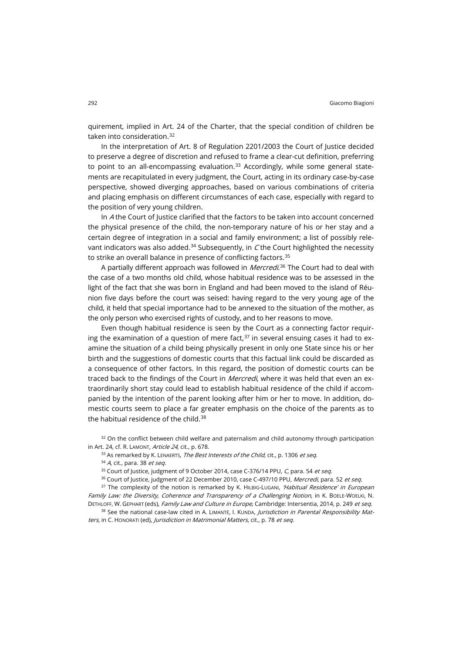quirement, implied in Art. 24 of the Charter, that the special condition of children be taken into consideration.[32](#page-7-0)

In the interpretation of Art. 8 of Regulation 2201/2003 the Court of Justice decided to preserve a degree of discretion and refused to frame a clear-cut definition, preferring to point to an all-encompassing evaluation. $33$  Accordingly, while some general statements are recapitulated in every judgment, the Court, acting in its ordinary case-by-case perspective, showed diverging approaches, based on various combinations of criteria and placing emphasis on different circumstances of each case, especially with regard to the position of very young children.

In A the Court of Justice clarified that the factors to be taken into account concerned the physical presence of the child, the non-temporary nature of his or her stay and a certain degree of integration in a social and family environment; a list of possibly rele-vant indicators was also added.<sup>[34](#page-7-2)</sup> Subsequently, in C the Court highlighted the necessity to strike an overall balance in presence of conflicting factors.<sup>[35](#page-7-3)</sup>

A partially different approach was followed in *Mercredi*.<sup>[36](#page-7-4)</sup> The Court had to deal with the case of a two months old child, whose habitual residence was to be assessed in the light of the fact that she was born in England and had been moved to the island of Réunion five days before the court was seised: having regard to the very young age of the child, it held that special importance had to be annexed to the situation of the mother, as the only person who exercised rights of custody, and to her reasons to move.

Even though habitual residence is seen by the Court as a connecting factor requir-ing the examination of a question of mere fact.<sup>[37](#page-7-5)</sup> in several ensuing cases it had to examine the situation of a child being physically present in only one State since his or her birth and the suggestions of domestic courts that this factual link could be discarded as a consequence of other factors. In this regard, the position of domestic courts can be traced back to the findings of the Court in *Mercredi*, where it was held that even an extraordinarily short stay could lead to establish habitual residence of the child if accompanied by the intention of the parent looking after him or her to move. In addition, domestic courts seem to place a far greater emphasis on the choice of the parents as to the habitual residence of the child.<sup>[38](#page-7-6)</sup>

<span id="page-7-2"></span><span id="page-7-1"></span><span id="page-7-0"></span><sup>32</sup> On the conflict between child welfare and paternalism and child autonomy through participation in Art. 24, cf. R. LAMONT, Article 24, cit., p. 678.

 $33$  As remarked by K. LENAERTS, The Best Interests of the Child, cit., p. 1306 et seq.

 $34$  A, cit., para. 38 et seq.

 $35$  Court of Justice, judgment of 9 October 2014, case C-376/14 PPU, C, para. 54 et seq.

<sup>36</sup> Court of Justice, judgment of 22 December 2010, case C-497/10 PPU, Mercredi, para. 52 et seq.

<span id="page-7-5"></span><span id="page-7-4"></span><span id="page-7-3"></span><sup>37</sup> The complexity of the notion is remarked by K. HILBIG-LUGANI, 'Habitual Residence' in European Family Law: the Diversity, Coherence and Transparency of a Challenging Notion, in K. BOELE-WOELKI, N. DETHLOFF, W. GEPHART (eds), Family Law and Culture in Europe, Cambridge: Intersentia, 2014, p. 249 et seq.

<span id="page-7-6"></span>38 See the national case-law cited in A. LIMANTĖ, I. KUNDA, *Jurisdiction in Parental Responsibility Mat*ters, in C. HONORATI (ed), Jurisdiction in Matrimonial Matters, cit., p. 78 et seq.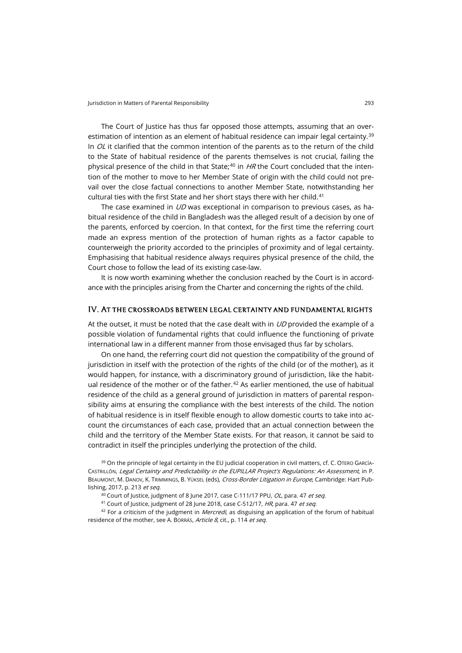The Court of Justice has thus far opposed those attempts, assuming that an over-estimation of intention as an element of habitual residence can impair legal certainty.<sup>[39](#page-8-0)</sup> In  $OL$  it clarified that the common intention of the parents as to the return of the child to the State of habitual residence of the parents themselves is not crucial, failing the physical presence of the child in that State:<sup>[40](#page-8-1)</sup> in  $HR$  the Court concluded that the intention of the mother to move to her Member State of origin with the child could not prevail over the close factual connections to another Member State, notwithstanding her cultural ties with the first State and her short stays there with her child.<sup>[41](#page-8-2)</sup>

The case examined in  $UD$  was exceptional in comparison to previous cases, as habitual residence of the child in Bangladesh was the alleged result of a decision by one of the parents, enforced by coercion. In that context, for the first time the referring court made an express mention of the protection of human rights as a factor capable to counterweigh the priority accorded to the principles of proximity and of legal certainty. Emphasising that habitual residence always requires physical presence of the child, the Court chose to follow the lead of its existing case-law.

It is now worth examining whether the conclusion reached by the Court is in accordance with the principles arising from the Charter and concerning the rights of the child.

### IV. At the crossroads between legal certainty and fundamental rights

At the outset, it must be noted that the case dealt with in  $UD$  provided the example of a possible violation of fundamental rights that could influence the functioning of private international law in a different manner from those envisaged thus far by scholars.

On one hand, the referring court did not question the compatibility of the ground of jurisdiction in itself with the protection of the rights of the child (or of the mother), as it would happen, for instance, with a discriminatory ground of jurisdiction, like the habit-ual residence of the mother or of the father.<sup>[42](#page-8-3)</sup> As earlier mentioned, the use of habitual residence of the child as a general ground of jurisdiction in matters of parental responsibility aims at ensuring the compliance with the best interests of the child. The notion of habitual residence is in itself flexible enough to allow domestic courts to take into account the circumstances of each case, provided that an actual connection between the child and the territory of the Member State exists. For that reason, it cannot be said to contradict in itself the principles underlying the protection of the child.

<span id="page-8-0"></span><sup>39</sup> On the principle of legal certainty in the EU judicial cooperation in civil matters, cf. C. OTERO GARCÍA-CASTRILLÓN, Legal Certainty and Predictability in the EUPILLAR Project's Regulations: An Assessment, in P. BEAUMONT, M. DANOV, K. TRIMMINGS, B. YÜKSEL (eds), Cross-Border Litigation in Europe, Cambridge: Hart Publishing, 2017, p. 213 et seq.

 $40$  Court of Justice, judgment of 8 June 2017, case C-111/17 PPU, OL, para. 47 et seq.

<sup>41</sup> Court of Justice, judgment of 28 June 2018, case C-512/17, HR, para. 47 et seq.

<span id="page-8-3"></span><span id="page-8-2"></span><span id="page-8-1"></span> $42$  For a criticism of the judgment in *Mercredi*, as disguising an application of the forum of habitual residence of the mother, see A. Borrás, Article 8, cit., p. 114 et seg.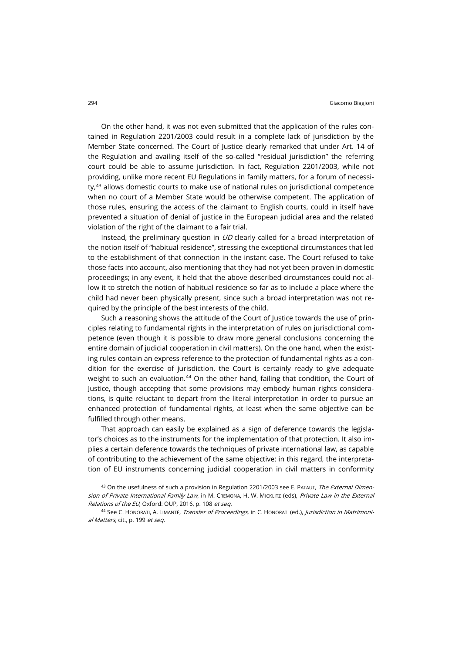On the other hand, it was not even submitted that the application of the rules contained in Regulation 2201/2003 could result in a complete lack of jurisdiction by the Member State concerned. The Court of Justice clearly remarked that under Art. 14 of the Regulation and availing itself of the so-called "residual jurisdiction" the referring court could be able to assume jurisdiction. In fact, Regulation 2201/2003, while not providing, unlike more recent EU Regulations in family matters, for a forum of necessi- $tv<sub>1</sub><sup>43</sup>$  $tv<sub>1</sub><sup>43</sup>$  $tv<sub>1</sub><sup>43</sup>$  allows domestic courts to make use of national rules on jurisdictional competence when no court of a Member State would be otherwise competent. The application of those rules, ensuring the access of the claimant to English courts, could in itself have prevented a situation of denial of justice in the European judicial area and the related violation of the right of the claimant to a fair trial.

Instead, the preliminary question in  $UD$  clearly called for a broad interpretation of the notion itself of "habitual residence", stressing the exceptional circumstances that led to the establishment of that connection in the instant case. The Court refused to take those facts into account, also mentioning that they had not yet been proven in domestic proceedings; in any event, it held that the above described circumstances could not allow it to stretch the notion of habitual residence so far as to include a place where the child had never been physically present, since such a broad interpretation was not required by the principle of the best interests of the child.

Such a reasoning shows the attitude of the Court of Justice towards the use of principles relating to fundamental rights in the interpretation of rules on jurisdictional competence (even though it is possible to draw more general conclusions concerning the entire domain of judicial cooperation in civil matters). On the one hand, when the existing rules contain an express reference to the protection of fundamental rights as a condition for the exercise of jurisdiction, the Court is certainly ready to give adequate weight to such an evaluation.<sup>[44](#page-9-1)</sup> On the other hand, failing that condition, the Court of Justice, though accepting that some provisions may embody human rights considerations, is quite reluctant to depart from the literal interpretation in order to pursue an enhanced protection of fundamental rights, at least when the same objective can be fulfilled through other means.

That approach can easily be explained as a sign of deference towards the legislator's choices as to the instruments for the implementation of that protection. It also implies a certain deference towards the techniques of private international law, as capable of contributing to the achievement of the same objective: in this regard, the interpretation of EU instruments concerning judicial cooperation in civil matters in conformity

<span id="page-9-0"></span><sup>43</sup> On the usefulness of such a provision in Regulation 2201/2003 see E. PATAUT, The External Dimension of Private International Family Law, in M. CREMONA, H.-W. MICKLITZ (eds), Private Law in the External Relations of the EU, Oxford: OUP, 2016, p. 108 et seq.

<span id="page-9-1"></span><sup>44</sup> See C. HONORATI, A. LIMANTĖ, Transfer of Proceedings, in C. HONORATI (ed.), Jurisdiction in Matrimonial Matters, cit., p. 199 et seq.